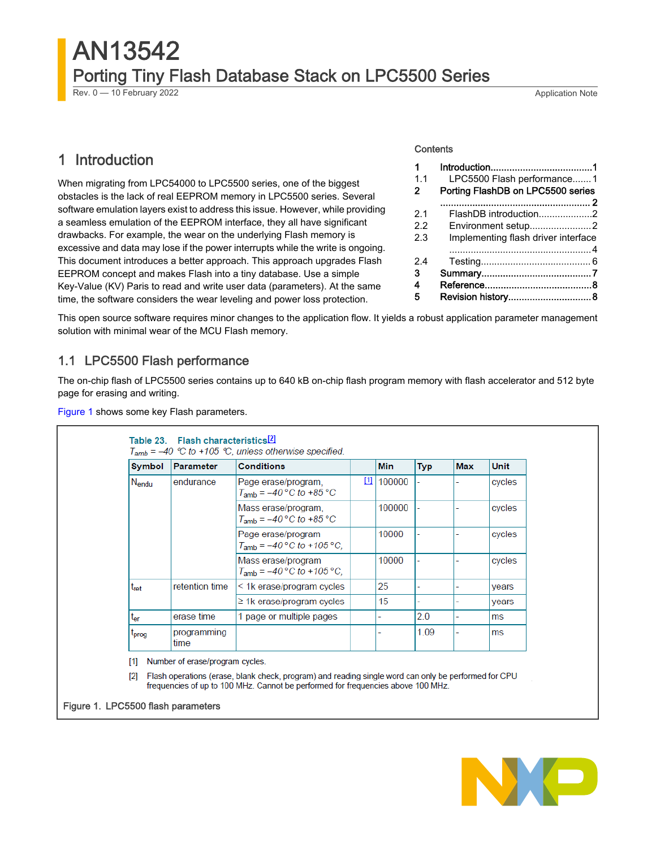# <span id="page-0-0"></span>AN13542 Porting Tiny Flash Database Stack on LPC5500 Series

Rev. 0 — 10 February 2022 2008 and the state of the state of the state of the state of the Application Note

# 1 Introduction

When migrating from LPC54000 to LPC5500 series, one of the biggest obstacles is the lack of real EEPROM memory in LPC5500 series. Several software emulation layers exist to address this issue. However, while providing a seamless emulation of the EEPROM interface, they all have significant drawbacks. For example, the wear on the underlying Flash memory is excessive and data may lose if the power interrupts while the write is ongoing. This document introduces a better approach. This approach upgrades Flash EEPROM concept and makes Flash into a tiny database. Use a simple Key-Value (KV) Paris to read and write user data (parameters). At the same time, the software considers the wear leveling and power loss protection.

#### **Contents**

| 1   |                                     |
|-----|-------------------------------------|
| 1.1 | LPC5500 Flash performance1          |
| 2   | Porting FlashDB on LPC5500 series   |
|     |                                     |
| 2.1 | FlashDB introduction2               |
| 22  | Environment setup2                  |
| 2.3 | Implementing flash driver interface |
|     |                                     |
| 2.4 |                                     |
| з   |                                     |
| 4   |                                     |
| 5   |                                     |

This open source software requires minor changes to the application flow. It yields a robust application parameter management solution with minimal wear of the MCU Flash memory.

### 1.1 LPC5500 Flash performance

The on-chip flash of LPC5500 series contains up to 640 kB on-chip flash program memory with flash accelerator and 512 byte page for erasing and writing.

Figure 1 shows some key Flash parameters.

| Symbol            | <b>Parameter</b>    | <b>Conditions</b>                                          |   | Min    | <b>Typ</b> | <b>Max</b> | <b>Unit</b> |
|-------------------|---------------------|------------------------------------------------------------|---|--------|------------|------------|-------------|
| $N_{endu}$        | endurance           | Page erase/program.<br>$T_{amb} = -40$ °C to +85 °C        | ш | 100000 |            |            | cycles      |
|                   |                     | Mass erase/program,<br>$T_{amb} = -40 °C$ to +85 °C        |   | 100000 |            |            | cycles      |
|                   |                     | Page erase/program<br>$T_{amb} = -40\degree C$ to +105 °C, |   | 10000  |            |            | cycles      |
|                   |                     | Mass erase/program<br>$T_{amb} = -40\degree C$ to +105 °C. |   | 10000  |            |            | cycles      |
| t <sub>ret</sub>  | retention time      | < 1k erase/program cycles                                  |   | 25     |            |            | years       |
|                   |                     | $\geq$ 1k erase/program cycles                             |   | 15     |            |            | years       |
| t <sub>er</sub>   | erase time          | 1 page or multiple pages                                   |   |        | 2.0        |            | ms          |
| <sup>L</sup> prog | programming<br>time |                                                            |   |        | 1.09       |            | ms          |

[1] Number of erase/program cycles.

 $[2]$ Flash operations (erase, blank check, program) and reading single word can only be performed for CPU frequencies of up to 100 MHz. Cannot be performed for frequencies above 100 MHz.

#### Figure 1. LPC5500 flash parameters

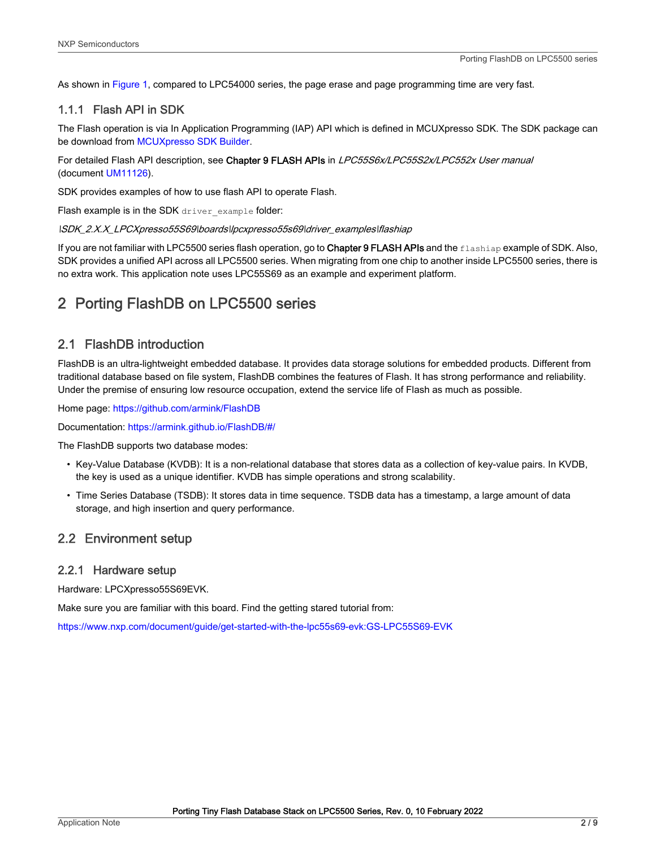<span id="page-1-0"></span>As shown in [Figure 1](#page-0-0), compared to LPC54000 series, the page erase and page programming time are very fast.

#### 1.1.1 Flash API in SDK

The Flash operation is via In Application Programming (IAP) API which is defined in MCUXpresso SDK. The SDK package can be download from [MCUXpresso SDK Builder](https://mcuxpresso.nxp.com/en/dashboard).

For detailed Flash API description, see Chapter 9 FLASH APIs in LPC55S6x/LPC55S2x/LPC552x User manual (document [UM11126](https://www.nxp.com/webapp/Download?colCode=UM11126)).

SDK provides examples of how to use flash API to operate Flash.

Flash example is in the SDK driver example folder:

\SDK\_2.X.X\_LPCXpresso55S69\boards\lpcxpresso55s69\driver\_examples\flashiap

If you are not familiar with LPC5500 series flash operation, go to Chapter 9 FLASH APIs and the flashiap example of SDK. Also, SDK provides a unified API across all LPC5500 series. When migrating from one chip to another inside LPC5500 series, there is no extra work. This application note uses LPC55S69 as an example and experiment platform.

# 2 Porting FlashDB on LPC5500 series

### 2.1 FlashDB introduction

FlashDB is an ultra-lightweight embedded database. It provides data storage solutions for embedded products. Different from traditional database based on file system, FlashDB combines the features of Flash. It has strong performance and reliability. Under the premise of ensuring low resource occupation, extend the service life of Flash as much as possible.

Home page: <https://github.com/armink/FlashDB>

Documentation: [https://armink.github.io/FlashDB/#/](https://armink.github.io/FlashDB/)

The FlashDB supports two database modes:

- Key-Value Database (KVDB): It is a non-relational database that stores data as a collection of key-value pairs. In KVDB, the key is used as a unique identifier. KVDB has simple operations and strong scalability.
- Time Series Database (TSDB): It stores data in time sequence. TSDB data has a timestamp, a large amount of data storage, and high insertion and query performance.

#### 2.2 Environment setup

#### 2.2.1 Hardware setup

Hardware: LPCXpresso55S69EVK.

Make sure you are familiar with this board. Find the getting stared tutorial from:

<https://www.nxp.com/document/guide/get-started-with-the-lpc55s69-evk:GS-LPC55S69-EVK>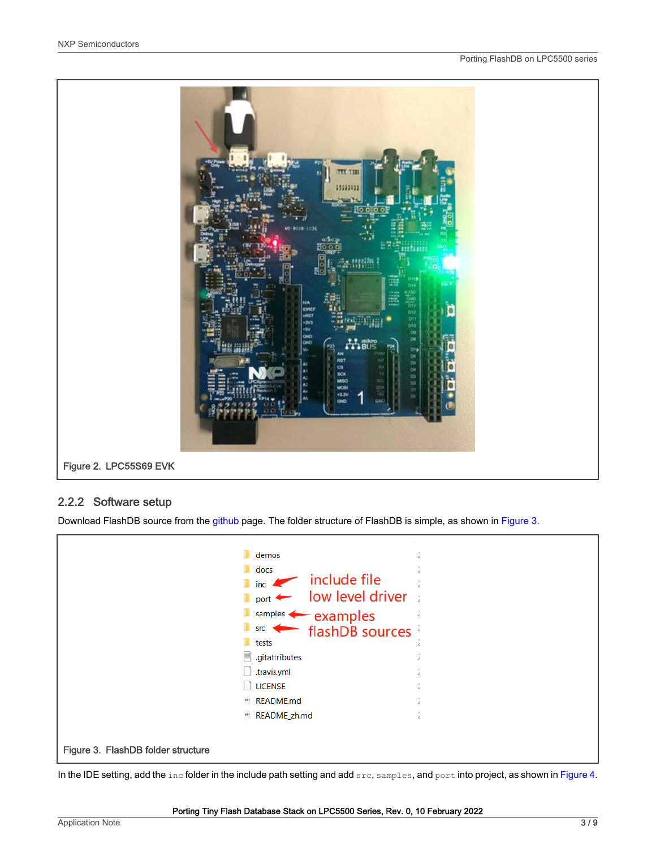

#### 2.2.2 Software setup

Download FlashDB source from the [github](https://github.com/armink/FlashDB) page. The folder structure of FlashDB is simple, as shown in Figure 3.

| Ħ                                  | demos<br>docs<br>$\blacksquare$ include file<br>$\blacksquare$ port $\leftarrow$ low level driver<br>$sumples$ examples<br>$\overbrace{\phantom{0}}^{\text{src}}$ flashDB sources $\overline{a}$<br>tests<br>.gitattributes |  |
|------------------------------------|-----------------------------------------------------------------------------------------------------------------------------------------------------------------------------------------------------------------------------|--|
|                                    | .travis.yml<br><b>LICENSE</b>                                                                                                                                                                                               |  |
|                                    | <b>**</b> README.md                                                                                                                                                                                                         |  |
|                                    | MA README_zh.md                                                                                                                                                                                                             |  |
| Figure 3. FlashDB folder structure |                                                                                                                                                                                                                             |  |

In the IDE setting, add the inc folder in the include path setting and add src, samples, and port into project, as shown in [Figure 4](#page-3-0).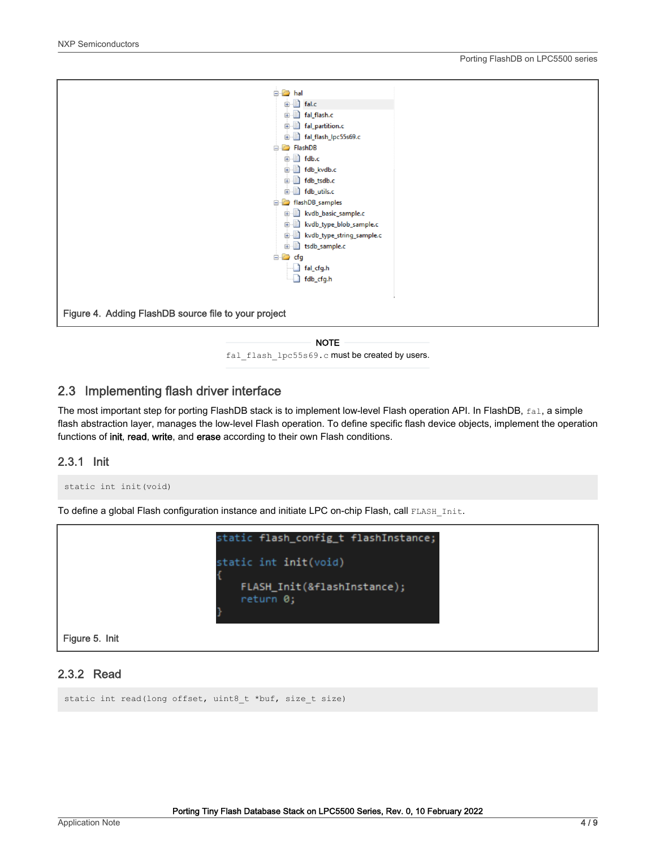<span id="page-3-0"></span>

#### NOTE

fal flash lpc55s69.c must be created by users.

### 2.3 Implementing flash driver interface

The most important step for porting FlashDB stack is to implement low-level Flash operation API. In FlashDB, fal, a simple flash abstraction layer, manages the low-level Flash operation. To define specific flash device objects, implement the operation functions of init, read, write, and erase according to their own Flash conditions.

#### 2.3.1 Init

```
static int init(void)
```
To define a global Flash configuration instance and initiate LPC on-chip Flash, call FLASH Init.



#### 2.3.2 Read

static int read(long offset, uint8 t \*buf, size t size)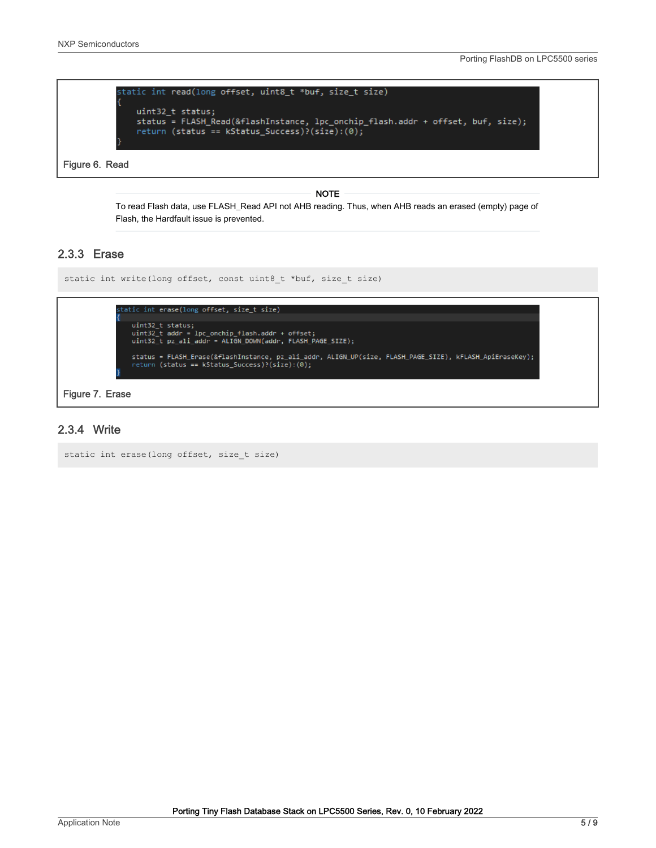

Figure 6. Read

#### NOTE

To read Flash data, use FLASH\_Read API not AHB reading. Thus, when AHB reads an erased (empty) page of Flash, the Hardfault issue is prevented.

#### 2.3.3 Erase

```
static int write(long offset, const uint8 t *buf, size t size)
```


#### Figure 7. Erase

#### 2.3.4 Write

```
static int erase(long offset, size_t size)
```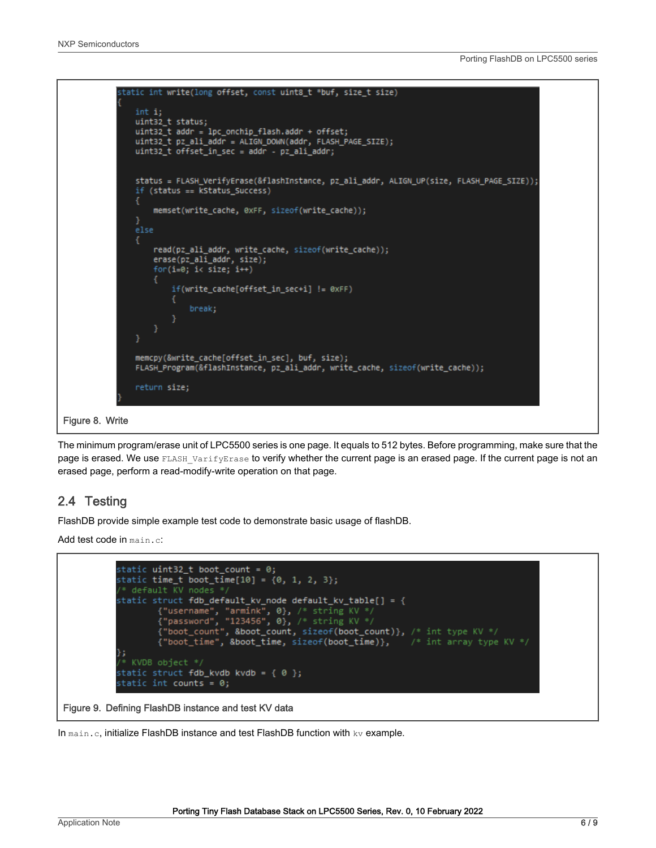<span id="page-5-0"></span>

The minimum program/erase unit of LPC5500 series is one page. It equals to 512 bytes. Before programming, make sure that the page is erased. We use FLASH VarifyErase to verify whether the current page is an erased page. If the current page is not an erased page, perform a read-modify-write operation on that page.

### 2.4 Testing

FlashDB provide simple example test code to demonstrate basic usage of flashDB.

Add test code in main.c:

```
static uint32_t boot_count = 0;static time_t boot_time[10] = \{0, 1, 2, 3\};
                  * default KV nodes
                 static struct <mark>fdb_default_kv_node default_kv_table[] =</mark> {
                            {"username", "armink", 0}, /* string KV */<br>{"password", "123456", 0}, /* string KV */<br>{"boot_count", &boot_count, sizeof(boot_count)}, /* int type KV */<br>{"boot_time", &boot_time, sizeof(boot_time)}, /* int array type KV */
                };
                  * KVDB object */
                 static struct fdb_kvdb kvdb = \{ \emptyset \};
                 static int <mark>counts = 0;</mark>
Figure 9. Defining FlashDB instance and test KV data
```
In  $\text{main.c}$ , initialize FlashDB instance and test FlashDB function with  $k\nu$  example.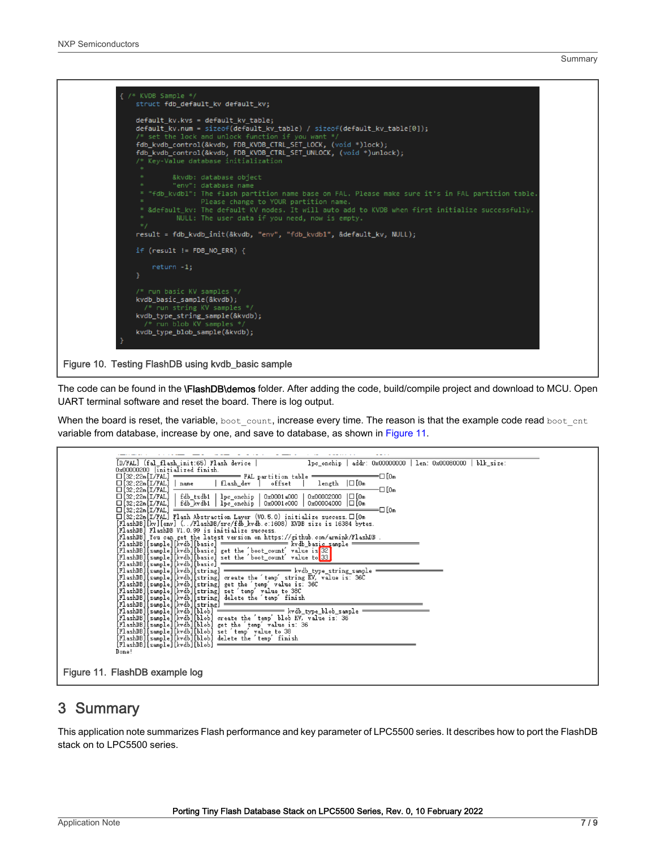<span id="page-6-0"></span>

The code can be found in the **\FlashDB\demos** folder. After adding the code, build/compile project and download to MCU. Open UART terminal software and reset the board. There is log output.

When the board is reset, the variable, boot count, increase every time. The reason is that the example code read boot cnt variable from database, increase by one, and save to database, as shown in Figure 11.

| [D/FAL] (fal flash init:65) Flash device  <br>lpc_onchip   addr: 0x00000000   len: 0x00080000   blk_size:                                                                               |
|-----------------------------------------------------------------------------------------------------------------------------------------------------------------------------------------|
| 0x00000200 linitialized finish.                                                                                                                                                         |
| $\square$ [32;22m[I/FAL] $\longrightarrow$ FAL partition table $\square$                                                                                                                |
| □[32;22m[I/FAL]   name   flash dev ] offset  <br>$length$ $ \Box$ $[0n]$                                                                                                                |
| $\square$ [32;22m [I/FAL]<br>-⊡ [0m                                                                                                                                                     |
| fdb_tsdb1   lpc_onchip   0x0001a000   0x00002000  □[0m<br>$\square$ [32; 22m [I/FAL]                                                                                                    |
| $\square$ [32; 22m [I/FAL]<br>$\frac{1}{2}$ fdb kvdb1 $\frac{1}{2}$ bc onchip $\frac{1}{2}$ 0x0001c000 $\frac{1}{2}$ 0x00004000 $\boxed{ \Box}$ [0m<br>$\Box$ [32;22m [I/FAL]<br>=⊡ ſom |
| $\square$ [32;22m[I/FAL] Flash Abstraction Layer (VO.5.0) initialize success. $\square$ [Om                                                                                             |
| [FlashDB][kv][env] (/FlashDB/src/fdb_kvdb.c:1608) KVDB size is 16384 bytes.                                                                                                             |
| [FlashDB] FlashDB V1.0.99 is initialize success.                                                                                                                                        |
| [FlashDB] You can get the latest version on https://github.com/armink/FlashDB.                                                                                                          |
|                                                                                                                                                                                         |
| [FlashDB][sample][kvdb][basic] get the 'boot_count' value is 32]                                                                                                                        |
| [FlashDB][sample][kvdb][basic] set the 'boot_count' value to 33]                                                                                                                        |
|                                                                                                                                                                                         |
|                                                                                                                                                                                         |
| [FlashDB][sample][kvdb][string] create the 'temp' string KV, value is: 36C                                                                                                              |
| [FlashDB][sample][kvdb][string] get the 'temp' value is: 36C<br>[FlashDB][sample][kvdb][string] set 'temp' value to 38C                                                                 |
| [FlashDB][sample][kvdb][string] delete the 'temp' finish                                                                                                                                |
| [FlashDB][sample][kvdb][string]                                                                                                                                                         |
|                                                                                                                                                                                         |
| [FlashDB][sample][kvdb][blob] create the 'temp' blob KV, value is: 36                                                                                                                   |
| [FlashDB][sample][kvdb][blob] get the 'temp' value is: 36                                                                                                                               |
| [FlashDB][sample][kvdb][blob] set 'temp' value to 38                                                                                                                                    |
| [FlashDB][sample][kvdb][blob] delete the 'temp' finish                                                                                                                                  |
| [FlashDB][sample][kvdb][blob]                                                                                                                                                           |
| Done!                                                                                                                                                                                   |
|                                                                                                                                                                                         |
| Figure 11. FlashDB example log                                                                                                                                                          |
|                                                                                                                                                                                         |

## 3 Summary

This application note summarizes Flash performance and key parameter of LPC5500 series. It describes how to port the FlashDB stack on to LPC5500 series.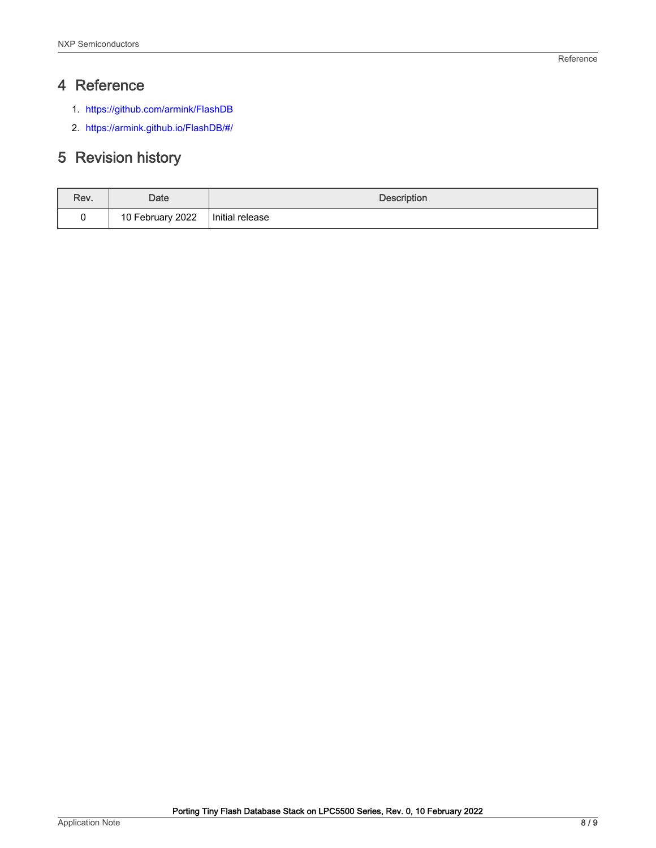# <span id="page-7-0"></span>4 Reference

- 1. <https://github.com/armink/FlashDB>
- 2. [https://armink.github.io/FlashDB/#/](https://armink.github.io/FlashDB/)

# 5 Revision history

| Rev. | Date             | <b>Description</b> |  |
|------|------------------|--------------------|--|
|      | 10 February 2022 | Initial release    |  |